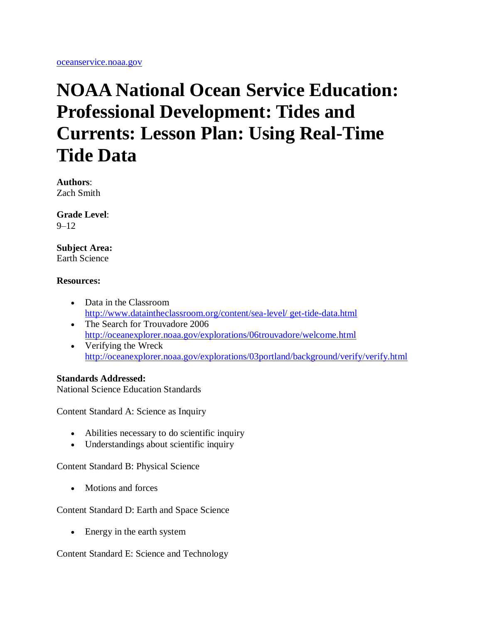# **NOAA National Ocean Service Education: Professional Development: Tides and Currents: Lesson Plan: Using Real-Time Tide Data**

**Authors**:

Zach Smith

**Grade Level**:  $9 - 12$ 

# **Subject Area:**

Earth Science

# **Resources:**

- Data in the Classroom [http://www.dataintheclassroom.org/content/sea-level/ get-tide-data.html](http://oceanservice.noaa.gov/redirect.php?url=http://www.dataintheclassroom.org/content/sea-level/get-tide-data.html)
- The Search for Trouvadore 2006 <http://oceanexplorer.noaa.gov/explorations/06trouvadore/welcome.html> • Verifying the Wreck
- <http://oceanexplorer.noaa.gov/explorations/03portland/background/verify/verify.html>

# **Standards Addressed:**

National Science Education Standards

Content Standard A: Science as Inquiry

- Abilities necessary to do scientific inquiry
- Understandings about scientific inquiry

Content Standard B: Physical Science

• Motions and forces

Content Standard D: Earth and Space Science

• Energy in the earth system

Content Standard E: Science and Technology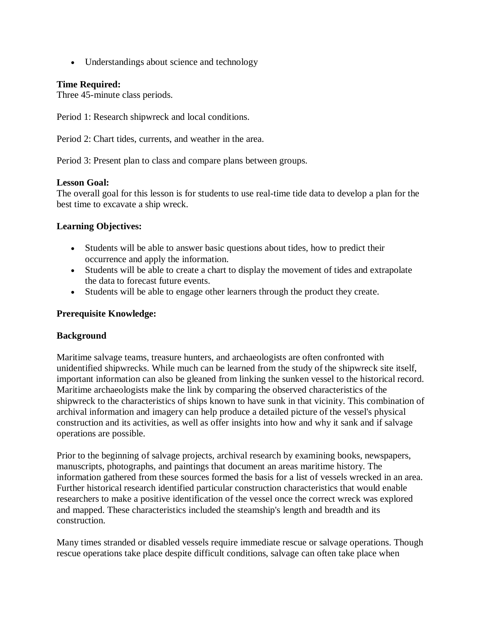• Understandings about science and technology

# **Time Required:**

Three 45-minute class periods.

Period 1: Research shipwreck and local conditions.

Period 2: Chart tides, currents, and weather in the area.

Period 3: Present plan to class and compare plans between groups.

# **Lesson Goal:**

The overall goal for this lesson is for students to use real-time tide data to develop a plan for the best time to excavate a ship wreck.

# **Learning Objectives:**

- Students will be able to answer basic questions about tides, how to predict their occurrence and apply the information.
- Students will be able to create a chart to display the movement of tides and extrapolate the data to forecast future events.
- Students will be able to engage other learners through the product they create.

# **Prerequisite Knowledge:**

# **Background**

Maritime salvage teams, treasure hunters, and archaeologists are often confronted with unidentified shipwrecks. While much can be learned from the study of the shipwreck site itself, important information can also be gleaned from linking the sunken vessel to the historical record. Maritime archaeologists make the link by comparing the observed characteristics of the shipwreck to the characteristics of ships known to have sunk in that vicinity. This combination of archival information and imagery can help produce a detailed picture of the vessel's physical construction and its activities, as well as offer insights into how and why it sank and if salvage operations are possible.

Prior to the beginning of salvage projects, archival research by examining books, newspapers, manuscripts, photographs, and paintings that document an areas maritime history. The information gathered from these sources formed the basis for a list of vessels wrecked in an area. Further historical research identified particular construction characteristics that would enable researchers to make a positive identification of the vessel once the correct wreck was explored and mapped. These characteristics included the steamship's length and breadth and its construction.

Many times stranded or disabled vessels require immediate rescue or salvage operations. Though rescue operations take place despite difficult conditions, salvage can often take place when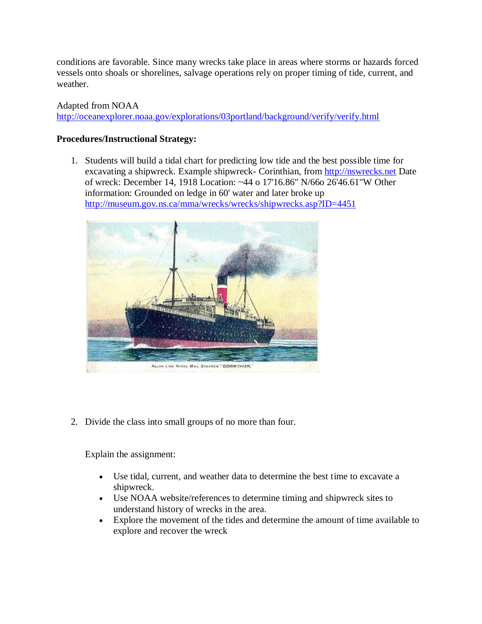conditions are favorable. Since many wrecks take place in areas where storms or hazards forced vessels onto shoals or shorelines, salvage operations rely on proper timing of tide, current, and weather.

# Adapted from NOAA

<http://oceanexplorer.noaa.gov/explorations/03portland/background/verify/verify.html>

# **Procedures/Instructional Strategy:**

1. Students will build a tidal chart for predicting low tide and the best possible time for excavating a shipwreck. Example shipwreck- Corinthian, from [http://nswrecks.net](http://oceanservice.noaa.gov/exit.php?url=http%3A%2F%2Fnswrecks.net%2F) Date of wreck: December 14, 1918 Location: ~44 o 17'16.86" N/66o 26'46.61"W Other information: Grounded on ledge in 60' water and later broke up [http://museum.gov.ns.ca/mma/wrecks/wrecks/shipwrecks.asp?ID=4451](http://oceanservice.noaa.gov/exit.php?url=http%3A%2F%2Fmuseum.gov.ns.ca%2Fmma%2Fwrecks%2Fwrecks%2Fshipwrecks.asp%3FID%3D4451)



2. Divide the class into small groups of no more than four.

Explain the assignment:

- Use tidal, current, and weather data to determine the best time to excavate a shipwreck.
- Use NOAA website/references to determine timing and shipwreck sites to understand history of wrecks in the area.
- Explore the movement of the tides and determine the amount of time available to explore and recover the wreck